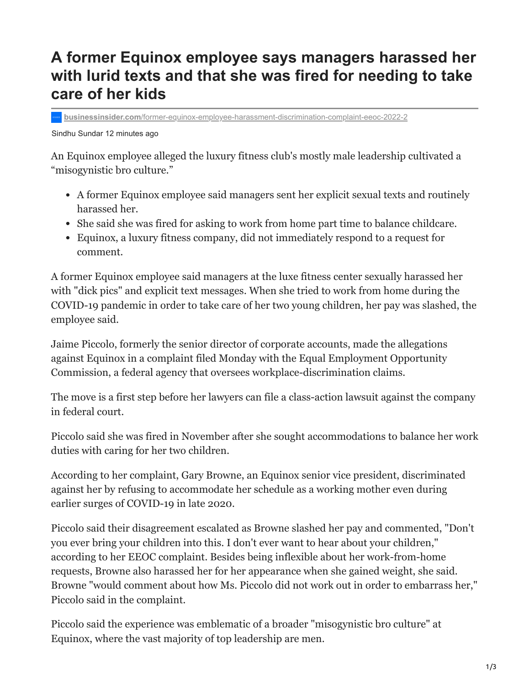## **A former Equinox employee says managers harassed her with lurid texts and that she was fired for needing to take care of her kids**

**businessinsider.com**[/former-equinox-employee-harassment-discrimination-complaint-eeoc-2022-2](https://www.businessinsider.com/former-equinox-employee-harassment-discrimination-complaint-eeoc-2022-2)

Sindhu Sundar 12 minutes ago

An Equinox employee alleged the luxury fitness club's mostly male leadership cultivated a "misogynistic bro culture."

- A former Equinox employee said managers sent her explicit sexual texts and routinely harassed her.
- She said she was fired for asking to work from home part time to balance childcare.
- Equinox, a luxury fitness company, did not immediately respond to a request for comment.

A former Equinox employee said managers at the luxe fitness center sexually harassed her with "dick pics" and explicit text messages. When she tried to work from home during the COVID-19 pandemic in order to take care of her two young children, her pay was slashed, the employee said.

Jaime Piccolo, formerly the senior director of corporate accounts, made the allegations against Equinox in a complaint filed Monday with the Equal Employment Opportunity Commission, a federal agency that oversees workplace-discrimination claims.

The move is a first step before her lawyers can file a class-action lawsuit against the company in federal court.

Piccolo said she was fired in November after she sought accommodations to balance her work duties with caring for her two children.

According to her complaint, Gary Browne, an Equinox senior vice president, discriminated against her by refusing to accommodate her schedule as a working mother even during earlier surges of COVID-19 in late 2020.

Piccolo said their disagreement escalated as Browne slashed her pay and commented, "Don't you ever bring your children into this. I don't ever want to hear about your children," according to her EEOC complaint. Besides being inflexible about her work-from-home requests, Browne also harassed her for her appearance when she gained weight, she said. Browne "would comment about how Ms. Piccolo did not work out in order to embarrass her," Piccolo said in the complaint.

Piccolo said the experience was emblematic of a broader "misogynistic bro culture" at Equinox, where the vast majority of top leadership are men.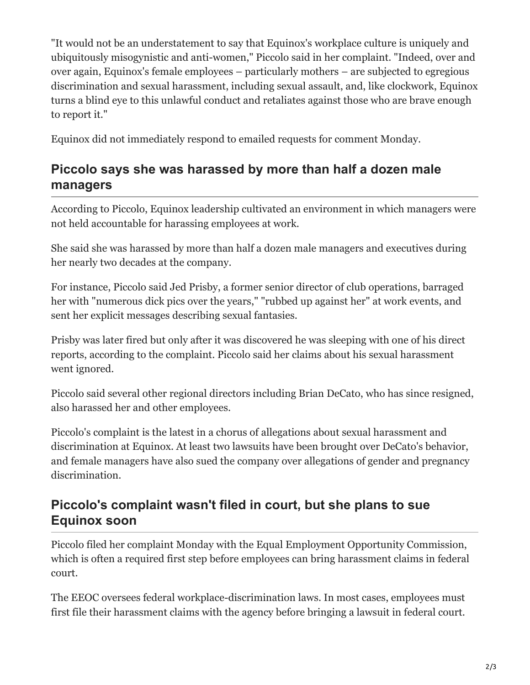"It would not be an understatement to say that Equinox's workplace culture is uniquely and ubiquitously misogynistic and anti-women," Piccolo said in her complaint. "Indeed, over and over again, Equinox's female employees – particularly mothers – are subjected to egregious discrimination and sexual harassment, including sexual assault, and, like clockwork, Equinox turns a blind eye to this unlawful conduct and retaliates against those who are brave enough to report it."

Equinox did not immediately respond to emailed requests for comment Monday.

## **Piccolo says she was harassed by more than half a dozen male managers**

According to Piccolo, Equinox leadership cultivated an environment in which managers were not held accountable for harassing employees at work.

She said she was harassed by more than half a dozen male managers and executives during her nearly two decades at the company.

For instance, Piccolo said Jed Prisby, a former senior director of club operations, barraged her with "numerous dick pics over the years," "rubbed up against her" at work events, and sent her explicit messages describing sexual fantasies.

Prisby was later fired but only after it was discovered he was sleeping with one of his direct reports, according to the complaint. Piccolo said her claims about his sexual harassment went ignored.

Piccolo said several other regional directors including Brian DeCato, who has since resigned, also harassed her and other employees.

Piccolo's complaint is the latest in a chorus of allegations about sexual harassment and discrimination at Equinox. At least two lawsuits have been brought over DeCato's behavior, and female managers have also sued the company over allegations of gender and pregnancy discrimination.

## **Piccolo's complaint wasn't filed in court, but she plans to sue Equinox soon**

Piccolo filed her complaint Monday with the Equal Employment Opportunity Commission, which is often a required first step before employees can bring harassment claims in federal court.

The EEOC oversees federal workplace-discrimination laws. In most cases, employees must first file their harassment claims with the agency before bringing a lawsuit in federal court.